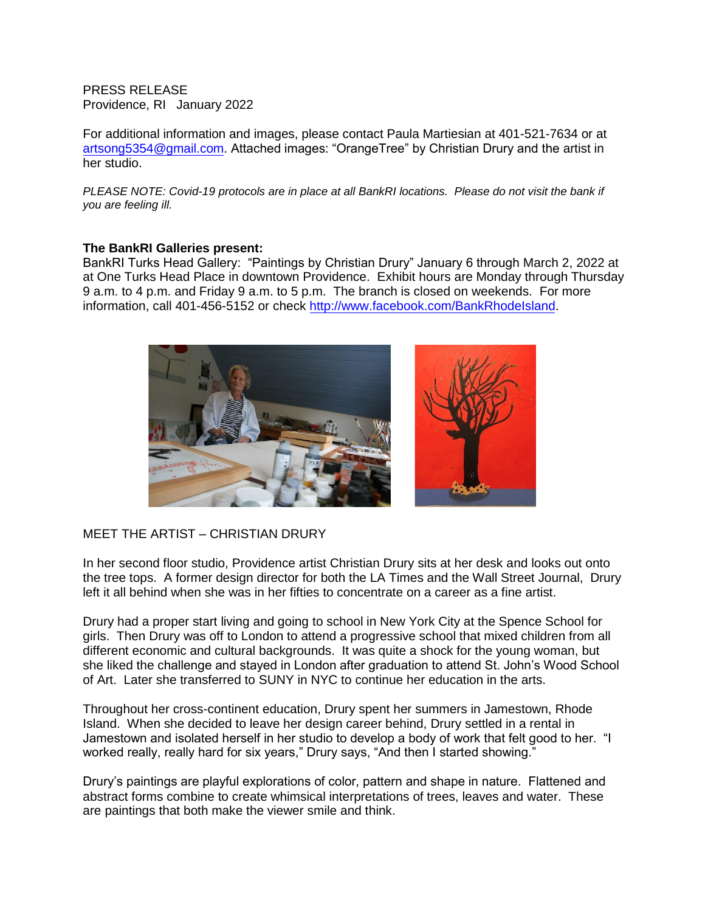PRESS RELEASE Providence, RI January 2022

For additional information and images, please contact Paula Martiesian at 401-521-7634 or at artsong5354@gmail.com. Attached images: "OrangeTree" by Christian Drury and the artist in her studio.

*PLEASE NOTE: Covid-19 protocols are in place at all BankRI locations. Please do not visit the bank if you are feeling ill.* 

## **The BankRI Galleries present:**

BankRI Turks Head Gallery: "Paintings by Christian Drury" January 6 through March 2, 2022 at at One Turks Head Place in downtown Providence. Exhibit hours are Monday through Thursday 9 a.m. to 4 p.m. and Friday 9 a.m. to 5 p.m. The branch is closed on weekends. For more information, call 401-456-5152 or check http://www.facebook.com/BankRhodeIsland.



## MEET THE ARTIST – CHRISTIAN DRURY

In her second floor studio, Providence artist Christian Drury sits at her desk and looks out onto the tree tops. A former design director for both the LA Times and the Wall Street Journal, Drury left it all behind when she was in her fifties to concentrate on a career as a fine artist.

Drury had a proper start living and going to school in New York City at the Spence School for girls. Then Drury was off to London to attend a progressive school that mixed children from all different economic and cultural backgrounds. It was quite a shock for the young woman, but she liked the challenge and stayed in London after graduation to attend St. John's Wood School of Art. Later she transferred to SUNY in NYC to continue her education in the arts.

Throughout her cross-continent education, Drury spent her summers in Jamestown, Rhode Island. When she decided to leave her design career behind, Drury settled in a rental in Jamestown and isolated herself in her studio to develop a body of work that felt good to her. "I worked really, really hard for six years," Drury says, "And then I started showing."

Drury's paintings are playful explorations of color, pattern and shape in nature. Flattened and abstract forms combine to create whimsical interpretations of trees, leaves and water. These are paintings that both make the viewer smile and think.